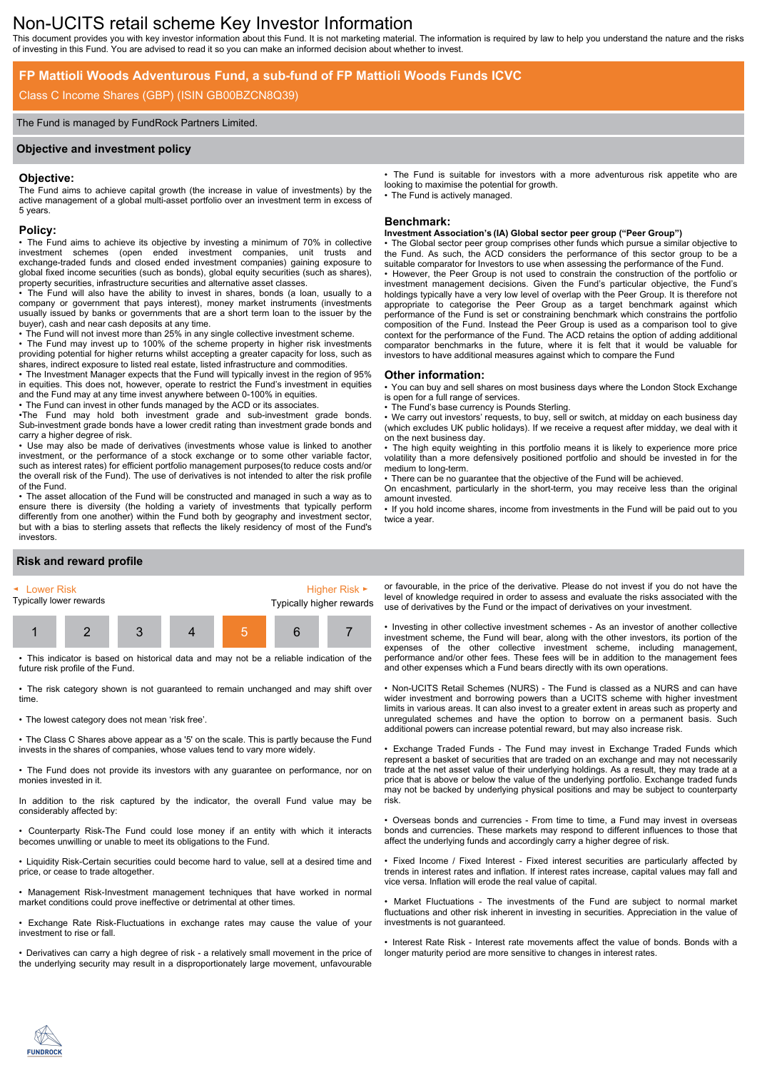# Non-UCITS retail scheme Key Investor Information

This document provides you with key investor information about this Fund. It is not marketing material. The information is required by law to help you understand the nature and the risks of investing in this Fund. You are advised to read it so you can make an informed decision about whether to invest.

## **FP Mattioli Woods Adventurous Fund, a sub-fund of FP Mattioli Woods Funds ICVC**

## Class C Income Shares (GBP) (ISIN GB00BZCN8Q39)

#### The Fund is managed by FundRock Partners Limited.

#### **Objective and investment policy**

#### **Objective:**

The Fund aims to achieve capital growth (the increase in value of investments) by the active management of a global multi-asset portfolio over an investment term in excess of 5 years.

#### **Policy:**

• The Fund aims to achieve its objective by investing a minimum of 70% in collective investment schemes (open ended investment companies, unit trusts and exchange-traded funds and closed ended investment companies) gaining exposure to global fixed income securities (such as bonds), global equity securities (such as shares), property securities, infrastructure securities and alternative asset classes.

• The Fund will also have the ability to invest in shares, bonds (a loan, usually to a company or government that pays interest), money market instruments (investments usually issued by banks or governments that are a short term loan to the issuer by the buyer), cash and near cash deposits at any time.

• The Fund will not invest more than 25% in any single collective investment scheme.

• The Fund may invest up to 100% of the scheme property in higher risk investments providing potential for higher returns whilst accepting a greater capacity for loss, such as shares, indirect exposure to listed real estate, listed infrastructure and commodities.

• The Investment Manager expects that the Fund will typically invest in the region of 95% in equities. This does not, however, operate to restrict the Fund's investment in equities and the Fund may at any time invest anywhere between 0-100% in equities.

• The Fund can invest in other funds managed by the ACD or its associates.

•The Fund may hold both investment grade and sub-investment grade bonds. Sub-investment grade bonds have a lower credit rating than investment grade bonds and carry a higher degree of risk.

• Use may also be made of derivatives (investments whose value is linked to another investment, or the performance of a stock exchange or to some other variable factor, such as interest rates) for efficient portfolio management purposes(to reduce costs and/or the overall risk of the Fund). The use of derivatives is not intended to alter the risk profile of the Fund.

• The asset allocation of the Fund will be constructed and managed in such a way as to ensure there is diversity (the holding a variety of investments that typically perform differently from one another) within the Fund both by geography and investment sector, but with a bias to sterling assets that reflects the likely residency of most of the Fund's investors.

### **Risk and reward profile**



• This indicator is based on historical data and may not be a reliable indication of the future risk profile of the Fund.

• The risk category shown is not guaranteed to remain unchanged and may shift over time.

• The lowest category does not mean 'risk free'.

• The Class C Shares above appear as a '5' on the scale. This is partly because the Fund invests in the shares of companies, whose values tend to vary more widely.

• The Fund does not provide its investors with any guarantee on performance, nor on monies invested in it.

In addition to the risk captured by the indicator, the overall Fund value may be considerably affected by:

• Counterparty Risk-The Fund could lose money if an entity with which it interacts becomes unwilling or unable to meet its obligations to the Fund.

• Liquidity Risk-Certain securities could become hard to value, sell at a desired time and price, or cease to trade altogether.

• Management Risk-Investment management techniques that have worked in normal market conditions could prove ineffective or detrimental at other times.

• Exchange Rate Risk-Fluctuations in exchange rates may cause the value of your investment to rise or fall.

• Derivatives can carry a high degree of risk - a relatively small movement in the price of the underlying security may result in a disproportionately large movement, unfavourable • The Fund is suitable for investors with a more adventurous risk appetite who are looking to maximise the potential for growth. The Fund is actively managed.

#### **Benchmark:**

#### **Investment Association's (IA) Global sector peer group ("Peer Group")**

The Global sector peer group comprises other funds which pursue a similar objective to the Fund. As such, the ACD considers the performance of this sector group to be a suitable comparator for Investors to use when assessing the performance of the Fund. • However, the Peer Group is not used to constrain the construction of the portfolio or investment management decisions. Given the Fund's particular objective, the Fund's holdings typically have a very low level of overlap with the Peer Group. It is therefore not appropriate to categorise the Peer Group as a target benchmark against which performance of the Fund is set or constraining benchmark which constrains the portfolio composition of the Fund. Instead the Peer Group is used as a comparison tool to give context for the performance of the Fund. The ACD retains the option of adding additional comparator benchmarks in the future, where it is felt that it would be valuable for investors to have additional measures against which to compare the Fund

#### **Other information:**

• You can buy and sell shares on most business days where the London Stock Exchange is open for a full range of services.

The Fund's base currency is Pounds Sterling.

We carry out investors' requests, to buy, sell or switch, at midday on each business day (which excludes UK public holidays). If we receive a request after midday, we deal with it on the next business day.

• The high equity weighting in this portfolio means it is likely to experience more price volatility than a more defensively positioned portfolio and should be invested in for the medium to long-term.

• There can be no guarantee that the objective of the Fund will be achieved.

On encashment, particularly in the short-term, you may receive less than the original amount invested.

• If you hold income shares, income from investments in the Fund will be paid out to you twice a year.

or favourable, in the price of the derivative. Please do not invest if you do not have the level of knowledge required in order to assess and evaluate the risks associated with the use of derivatives by the Fund or the impact of derivatives on your investment.

• Investing in other collective investment schemes - As an investor of another collective investment scheme, the Fund will bear, along with the other investors, its portion of the expenses of the other collective investment scheme, including management, performance and/or other fees. These fees will be in addition to the management fees and other expenses which a Fund bears directly with its own operations.

• Non-UCITS Retail Schemes (NURS) - The Fund is classed as a NURS and can have wider investment and borrowing powers than a UCITS scheme with higher investment limits in various areas. It can also invest to a greater extent in areas such as property and unregulated schemes and have the option to borrow on a permanent basis. Such additional powers can increase potential reward, but may also increase risk.

• Exchange Traded Funds - The Fund may invest in Exchange Traded Funds which represent a basket of securities that are traded on an exchange and may not necessarily trade at the net asset value of their underlying holdings. As a result, they may trade at a price that is above or below the value of the underlying portfolio. Exchange traded funds may not be backed by underlying physical positions and may be subject to counterparty risk.

• Overseas bonds and currencies - From time to time, a Fund may invest in overseas bonds and currencies. These markets may respond to different influences to those that affect the underlying funds and accordingly carry a higher degree of risk.

• Fixed Income / Fixed Interest - Fixed interest securities are particularly affected by trends in interest rates and inflation. If interest rates increase, capital values may fall and vice versa. Inflation will erode the real value of capital.

Market Fluctuations - The investments of the Fund are subject to normal market fluctuations and other risk inherent in investing in securities. Appreciation in the value of investments is not guaranteed.

• Interest Rate Risk - Interest rate movements affect the value of bonds. Bonds with a longer maturity period are more sensitive to changes in interest rates.